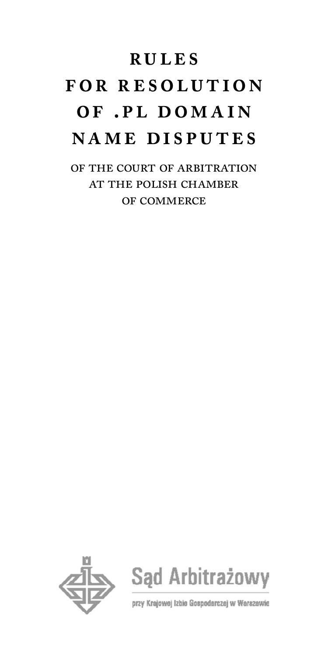# **rules f or r esolu t ion**  OF .PL DOMAIN **name disputes**

of the court of arbitration at the polish chamber of commerce





przy Krajowej Izbie Gospodarczej w Warszawie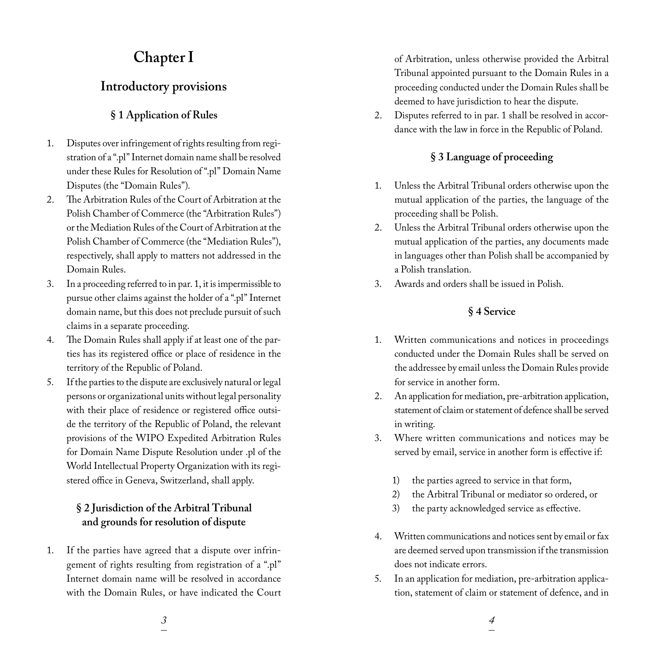## **Chapter I**

## **Introductory provisions**

## **§ 1 Application of Rules**

- 1. Disputes over infringement of rights resulting from registration of a ".pl" Internet domain name shall be resolved under these Rules for Resolution of ".pl" Domain Name Disputes (the "Domain Rules").
- 2. The Arbitration Rules of the Court of Arbitration at the Polish Chamber of Commerce (the "Arbitration Rules") or the Mediation Rules of the Court of Arbitration at the Polish Chamber of Commerce (the "Mediation Rules"), respectively, shall apply to matters not addressed in the Domain Rules.
- 3. In a proceeding referred to in par. 1, it is impermissible to pursue other claims against the holder of a ".pl" Internet domain name, but this does not preclude pursuit of such claims in a separate proceeding.
- 4. The Domain Rules shall apply if at least one of the parties has its registered office or place of residence in the territory of the Republic of Poland.
- 5. If the parties to the dispute are exclusively natural or legal persons or organizational units without legal personality with their place of residence or registered office outside the territory of the Republic of Poland, the relevant provisions of the WIPO Expedited Arbitration Rules for Domain Name Dispute Resolution under .pl of the World Intellectual Property Organization with its registered office in Geneva, Switzerland, shall apply.

## **§ 2 Jurisdiction of the Arbitral Tribunal and grounds for resolution of dispute**

1. If the parties have agreed that a dispute over infringement of rights resulting from registration of a ".pl" Internet domain name will be resolved in accordance with the Domain Rules, or have indicated the Court of Arbitration, unless otherwise provided the Arbitral Tribunal appointed pursuant to the Domain Rules in a proceeding conducted under the Domain Rules shall be deemed to have jurisdiction to hear the dispute.

2. Disputes referred to in par. 1 shall be resolved in accordance with the law in force in the Republic of Poland.

## **§ 3 Language of proceeding**

- 1. Unless the Arbitral Tribunal orders otherwise upon the mutual application of the parties, the language of the proceeding shall be Polish.
- 2. Unless the Arbitral Tribunal orders otherwise upon the mutual application of the parties, any documents made in languages other than Polish shall be accompanied by a Polish translation.
- 3. Awards and orders shall be issued in Polish.

## **§ 4 Service**

- 1. Written communications and notices in proceedings conducted under the Domain Rules shall be served on the addressee by email unless the Domain Rules provide for service in another form.
- 2. An application for mediation, pre-arbitration application, statement of claim or statement of defence shall be served in writing.
- 3. Where written communications and notices may be served by email, service in another form is effective if:
	- 1) the parties agreed to service in that form,
	- 2) the Arbitral Tribunal or mediator so ordered, or
	- 3) the party acknowledged service as effective.
- 4. Written communications and notices sent by email or fax are deemed served upon transmission if the transmission does not indicate errors.
- 5. In an application for mediation, pre-arbitration application, statement of claim or statement of defence, and in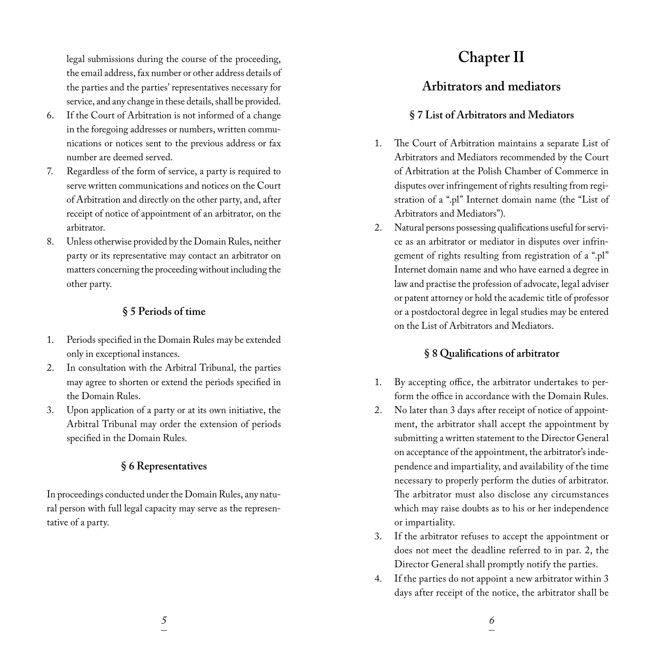legal submissions during the course of the proceeding, the email address, fax number or other address details of the parties and the parties' representatives necessary for service, and any change in these details, shall be provided.

- 6. If the Court of Arbitration is not informed of a change in the foregoing addresses or numbers, written communications or notices sent to the previous address or fax number are deemed served.
- 7. Regardless of the form of service, a party is required to serve written communications and notices on the Court of Arbitration and directly on the other party, and, after receipt of notice of appointment of an arbitrator, on the arbitrator.
- 8. Unless otherwise provided by the Domain Rules, neither party or its representative may contact an arbitrator on matters concerning the proceeding without including the other party.

## **§ 5 Periods of time**

- 1. Periods specified in the Domain Rules may be extended only in exceptional instances.
- 2. In consultation with the Arbitral Tribunal, the parties may agree to shorten or extend the periods specified in the Domain Rules.
- 3. Upon application of a party or at its own initiative, the Arbitral Tribunal may order the extension of periods specified in the Domain Rules.

## **§ 6 Representatives**

In proceedings conducted under the Domain Rules, any natural person with full legal capacity may serve as the representative of a party.

## **Chapter II**

## **Arbitrators and mediators**

## **§ 7 List of Arbitrators and Mediators**

- 1. The Court of Arbitration maintains a separate List of Arbitrators and Mediators recommended by the Court of Arbitration at the Polish Chamber of Commerce in disputes over infringement of rights resulting from registration of a ".pl" Internet domain name (the "List of Arbitrators and Mediators").
- 2. Natural persons possessing qualifications useful for service as an arbitrator or mediator in disputes over infringement of rights resulting from registration of a ".pl" Internet domain name and who have earned a degree in law and practise the profession of advocate, legal adviser or patent attorney or hold the academic title of professor or a postdoctoral degree in legal studies may be entered on the List of Arbitrators and Mediators.

## **§ 8 Qualifications of arbitrator**

- 1. By accepting office, the arbitrator undertakes to perform the office in accordance with the Domain Rules.
- 2. No later than 3 days after receipt of notice of appointment, the arbitrator shall accept the appointment by submitting a written statement to the Director General on acceptance of the appointment, the arbitrator's independence and impartiality, and availability of the time necessary to properly perform the duties of arbitrator. The arbitrator must also disclose any circumstances which may raise doubts as to his or her independence or impartiality.
- 3. If the arbitrator refuses to accept the appointment or does not meet the deadline referred to in par. 2, the Director General shall promptly notify the parties.
- 4. If the parties do not appoint a new arbitrator within 3 days after receipt of the notice, the arbitrator shall be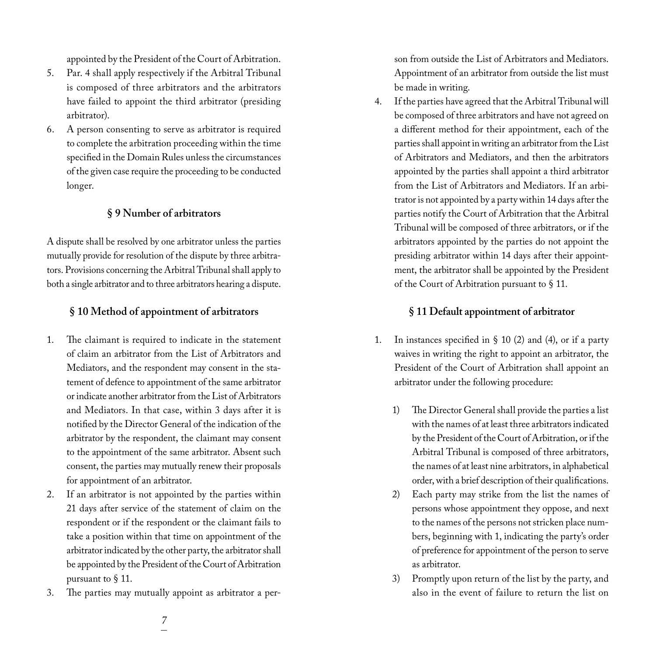appointed by the President of the Court of Arbitration.

- 5. Par. 4 shall apply respectively if the Arbitral Tribunal is composed of three arbitrators and the arbitrators have failed to appoint the third arbitrator (presiding arbitrator).
- 6. A person consenting to serve as arbitrator is required to complete the arbitration proceeding within the time specified in the Domain Rules unless the circumstances of the given case require the proceeding to be conducted longer.

#### **§ 9 Number of arbitrators**

A dispute shall be resolved by one arbitrator unless the parties mutually provide for resolution of the dispute by three arbitrators. Provisions concerning the Arbitral Tribunal shall apply to both a single arbitrator and to three arbitrators hearing a dispute.

#### **§ 10 Method of appointment of arbitrators**

- 1. The claimant is required to indicate in the statement of claim an arbitrator from the List of Arbitrators and Mediators, and the respondent may consent in the statement of defence to appointment of the same arbitrator or indicate another arbitrator from the List of Arbitrators and Mediators. In that case, within 3 days after it is notified by the Director General of the indication of the arbitrator by the respondent, the claimant may consent to the appointment of the same arbitrator. Absent such consent, the parties may mutually renew their proposals for appointment of an arbitrator.
- 2. If an arbitrator is not appointed by the parties within 21 days after service of the statement of claim on the respondent or if the respondent or the claimant fails to take a position within that time on appointment of the arbitrator indicated by the other party, the arbitrator shall be appointed by the President of the Court of Arbitration pursuant to § 11.
- 3. The parties may mutually appoint as arbitrator a per-

son from outside the List of Arbitrators and Mediators. Appointment of an arbitrator from outside the list must be made in writing.

4. If the parties have agreed that the Arbitral Tribunal will be composed of three arbitrators and have not agreed on a different method for their appointment, each of the parties shall appoint in writing an arbitrator from the List of Arbitrators and Mediators, and then the arbitrators appointed by the parties shall appoint a third arbitrator from the List of Arbitrators and Mediators. If an arbitrator is not appointed by a party within 14 days after the parties notify the Court of Arbitration that the Arbitral Tribunal will be composed of three arbitrators, or if the arbitrators appointed by the parties do not appoint the presiding arbitrator within 14 days after their appointment, the arbitrator shall be appointed by the President of the Court of Arbitration pursuant to § 11.

#### **§ 11 Default appointment of arbitrator**

- 1. In instances specified in  $\S$  10 (2) and (4), or if a party waives in writing the right to appoint an arbitrator, the President of the Court of Arbitration shall appoint an arbitrator under the following procedure:
	- The Director General shall provide the parties a list with the names of at least three arbitrators indicated by the President of the Court of Arbitration, or if the Arbitral Tribunal is composed of three arbitrators, the names of at least nine arbitrators, in alphabetical order, with a brief description of their qualifications.
	- 2) Each party may strike from the list the names of persons whose appointment they oppose, and next to the names of the persons not stricken place numbers, beginning with 1, indicating the party's order of preference for appointment of the person to serve as arbitrator.
	- 3) Promptly upon return of the list by the party, and also in the event of failure to return the list on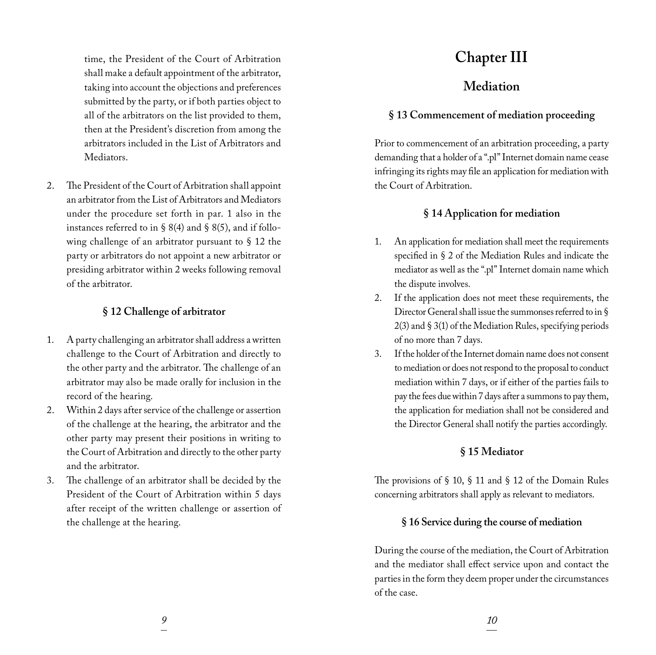time, the President of the Court of Arbitration shall make a default appointment of the arbitrator, taking into account the objections and preferences submitted by the party, or if both parties object to all of the arbitrators on the list provided to them, then at the President's discretion from among the arbitrators included in the List of Arbitrators and Mediators.

2. The President of the Court of Arbitration shall appoint an arbitrator from the List of Arbitrators and Mediators under the procedure set forth in par. 1 also in the instances referred to in § 8(4) and § 8(5), and if following challenge of an arbitrator pursuant to § 12 the party or arbitrators do not appoint a new arbitrator or presiding arbitrator within 2 weeks following removal of the arbitrator.

### **§ 12 Challenge of arbitrator**

- 1. A party challenging an arbitrator shall address a written challenge to the Court of Arbitration and directly to the other party and the arbitrator. The challenge of an arbitrator may also be made orally for inclusion in the record of the hearing.
- 2. Within 2 days after service of the challenge or assertion of the challenge at the hearing, the arbitrator and the other party may present their positions in writing to the Court of Arbitration and directly to the other party and the arbitrator.
- 3. The challenge of an arbitrator shall be decided by the President of the Court of Arbitration within 5 days after receipt of the written challenge or assertion of the challenge at the hearing.

## **Chapter III**

## **Mediation**

### **§ 13 Commencement of mediation proceeding**

Prior to commencement of an arbitration proceeding, a party demanding that a holder of a ".pl" Internet domain name cease infringing its rights may file an application for mediation with the Court of Arbitration.

### **§ 14 Application for mediation**

- 1. An application for mediation shall meet the requirements specified in § 2 of the Mediation Rules and indicate the mediator as well as the ".pl" Internet domain name which the dispute involves.
- 2. If the application does not meet these requirements, the Director General shall issue the summonses referred to in § 2(3) and § 3(1) of the Mediation Rules, specifying periods of no more than 7 days.
- 3. If the holder of the Internet domain name does not consent to mediation or does not respond to the proposal to conduct mediation within 7 days, or if either of the parties fails to pay the fees due within 7 days after a summons to pay them, the application for mediation shall not be considered and the Director General shall notify the parties accordingly.

#### **§ 15 Mediator**

The provisions of § 10, § 11 and § 12 of the Domain Rules concerning arbitrators shall apply as relevant to mediators.

#### **§ 16 Service during the course of mediation**

During the course of the mediation, the Court of Arbitration and the mediator shall effect service upon and contact the parties in the form they deem proper under the circumstances of the case.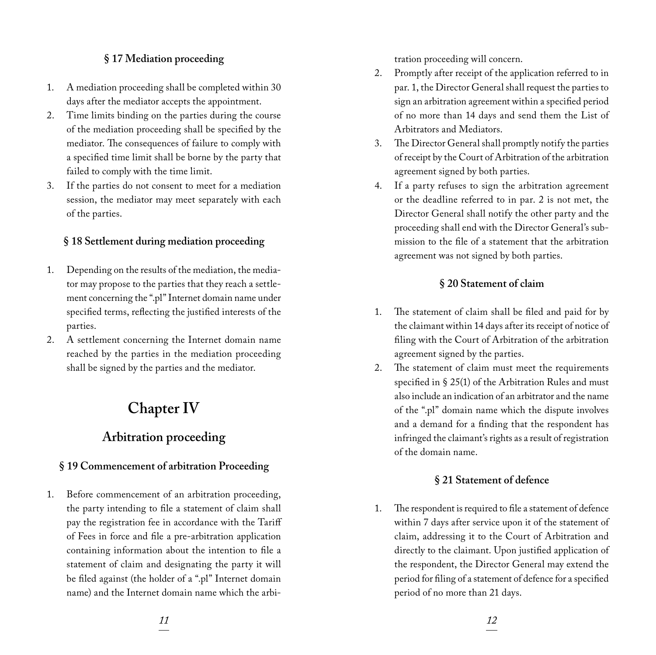## **§ 17 Mediation proceeding**

- 1. A mediation proceeding shall be completed within 30 days after the mediator accepts the appointment.
- 2. Time limits binding on the parties during the course of the mediation proceeding shall be specified by the mediator. The consequences of failure to comply with a specified time limit shall be borne by the party that failed to comply with the time limit.
- 3. If the parties do not consent to meet for a mediation session, the mediator may meet separately with each of the parties.

### **§ 18 Settlement during mediation proceeding**

- 1. Depending on the results of the mediation, the mediator may propose to the parties that they reach a settlement concerning the ".pl" Internet domain name under specified terms, reflecting the justified interests of the parties.
- 2. A settlement concerning the Internet domain name reached by the parties in the mediation proceeding shall be signed by the parties and the mediator.

## **Chapter IV**

## **Arbitration proceeding**

## **§ 19 Commencement of arbitration Proceeding**

1. Before commencement of an arbitration proceeding, the party intending to file a statement of claim shall pay the registration fee in accordance with the Tariff of Fees in force and file a pre-arbitration application containing information about the intention to file a statement of claim and designating the party it will be filed against (the holder of a ".pl" Internet domain name) and the Internet domain name which the arbitration proceeding will concern.

- 2. Promptly after receipt of the application referred to in par. 1, the Director General shall request the parties to sign an arbitration agreement within a specified period of no more than 14 days and send them the List of Arbitrators and Mediators.
- 3. The Director General shall promptly notify the parties of receipt by the Court of Arbitration of the arbitration agreement signed by both parties.
- 4. If a party refuses to sign the arbitration agreement or the deadline referred to in par. 2 is not met, the Director General shall notify the other party and the proceeding shall end with the Director General's submission to the file of a statement that the arbitration agreement was not signed by both parties.

## **§ 20 Statement of claim**

- 1. The statement of claim shall be filed and paid for by the claimant within 14 days after its receipt of notice of filing with the Court of Arbitration of the arbitration agreement signed by the parties.
- 2. The statement of claim must meet the requirements specified in § 25(1) of the Arbitration Rules and must also include an indication of an arbitrator and the name of the ".pl" domain name which the dispute involves and a demand for a finding that the respondent has infringed the claimant's rights as a result of registration of the domain name.

## **§ 21 Statement of defence**

1. The respondent is required to file a statement of defence within 7 days after service upon it of the statement of claim, addressing it to the Court of Arbitration and directly to the claimant. Upon justified application of the respondent, the Director General may extend the period for filing of a statement of defence for a specified period of no more than 21 days.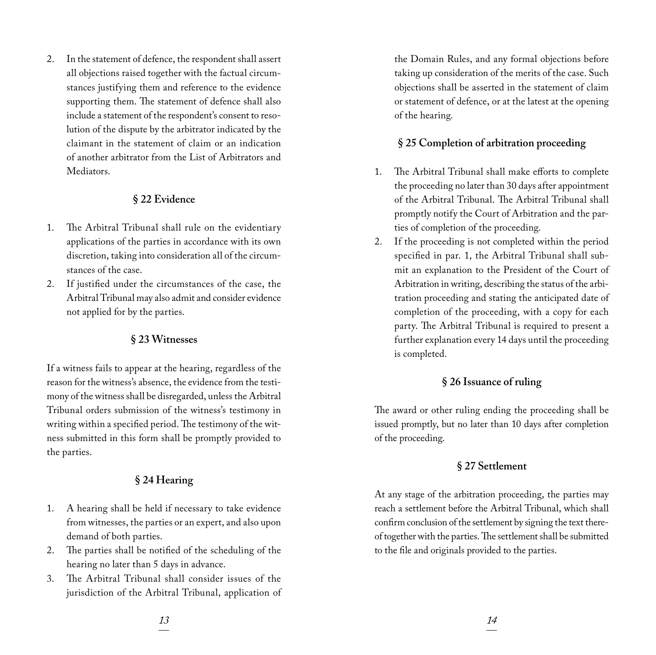2. In the statement of defence, the respondent shall assert all objections raised together with the factual circumstances justifying them and reference to the evidence supporting them. The statement of defence shall also include a statement of the respondent's consent to resolution of the dispute by the arbitrator indicated by the claimant in the statement of claim or an indication of another arbitrator from the List of Arbitrators and Mediators.

#### **§ 22 Evidence**

- 1. The Arbitral Tribunal shall rule on the evidentiary applications of the parties in accordance with its own discretion, taking into consideration all of the circumstances of the case.
- 2. If justified under the circumstances of the case, the Arbitral Tribunal may also admit and consider evidence not applied for by the parties.

#### **§ 23 Witnesses**

If a witness fails to appear at the hearing, regardless of the reason for the witness's absence, the evidence from the testimony of the witness shall be disregarded, unless the Arbitral Tribunal orders submission of the witness's testimony in writing within a specified period. The testimony of the witness submitted in this form shall be promptly provided to the parties.

### **§ 24 Hearing**

- 1. A hearing shall be held if necessary to take evidence from witnesses, the parties or an expert, and also upon demand of both parties.
- 2. The parties shall be notified of the scheduling of the hearing no later than 5 days in advance.
- 3. The Arbitral Tribunal shall consider issues of the jurisdiction of the Arbitral Tribunal, application of

the Domain Rules, and any formal objections before taking up consideration of the merits of the case. Such objections shall be asserted in the statement of claim or statement of defence, or at the latest at the opening of the hearing.

#### **§ 25 Completion of arbitration proceeding**

- 1. The Arbitral Tribunal shall make efforts to complete the proceeding no later than 30 days after appointment of the Arbitral Tribunal. The Arbitral Tribunal shall promptly notify the Court of Arbitration and the parties of completion of the proceeding.
- 2. If the proceeding is not completed within the period specified in par. 1, the Arbitral Tribunal shall submit an explanation to the President of the Court of Arbitration in writing, describing the status of the arbitration proceeding and stating the anticipated date of completion of the proceeding, with a copy for each party. The Arbitral Tribunal is required to present a further explanation every 14 days until the proceeding is completed.

#### **§ 26 Issuance of ruling**

The award or other ruling ending the proceeding shall be issued promptly, but no later than 10 days after completion of the proceeding.

#### **§ 27 Settlement**

At any stage of the arbitration proceeding, the parties may reach a settlement before the Arbitral Tribunal, which shall confirm conclusion of the settlement by signing the text thereof together with the parties. The settlement shall be submitted to the file and originals provided to the parties.